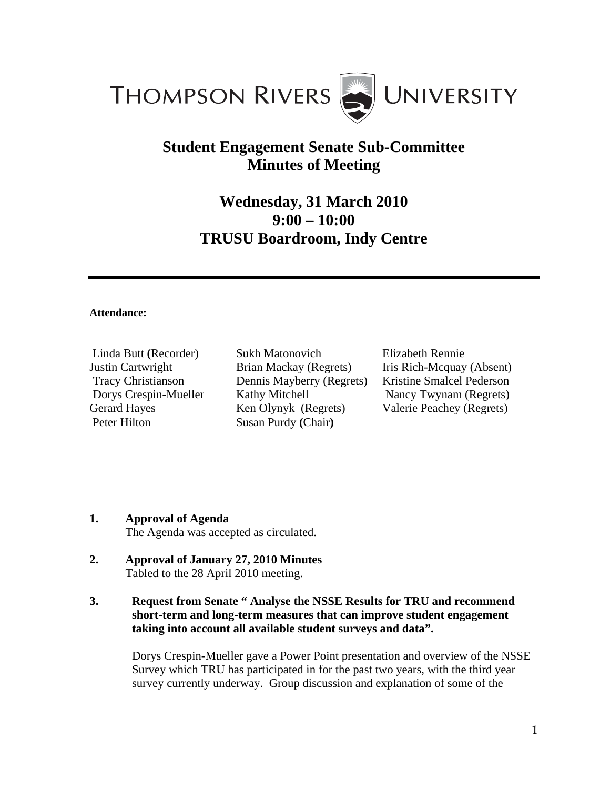

## **Student Engagement Senate Sub-Committee Minutes of Meeting**

## **Wednesday, 31 March 2010 9:00 – 10:00 TRUSU Boardroom, Indy Centre**

## **Attendance:**

Linda Butt **(**Recorder) Justin Cartwright Tracy Christianson Dorys Crespin-Mueller Gerard Hayes Peter Hilton

Sukh Matonovich Brian Mackay (Regrets) Dennis Mayberry (Regrets) Kathy Mitchell Ken Olynyk (Regrets) Susan Purdy **(**Chair**)** 

Elizabeth Rennie Iris Rich-Mcquay (Absent) Kristine Smalcel Pederson Nancy Twynam (Regrets) Valerie Peachey (Regrets)

## **1. Approval of Agenda**

The Agenda was accepted as circulated.

- **2. Approval of January 27, 2010 Minutes**  Tabled to the 28 April 2010 meeting.
- **3. Request from Senate " Analyse the NSSE Results for TRU and recommend short-term and long-term measures that can improve student engagement taking into account all available student surveys and data".**

Dorys Crespin-Mueller gave a Power Point presentation and overview of the NSSE Survey which TRU has participated in for the past two years, with the third year survey currently underway. Group discussion and explanation of some of the